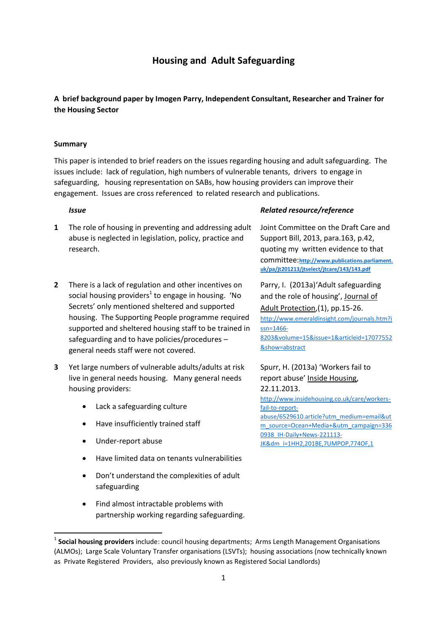# **Housing and Adult Safeguarding**

## **A brief background paper by Imogen Parry, Independent Consultant, Researcher and Trainer for the Housing Sector**

### **Summary**

This paper is intended to brief readers on the issues regarding housing and adult safeguarding. The issues include: lack of regulation, high numbers of vulnerable tenants, drivers to engage in safeguarding, housing representation on SABs, how housing providers can improve their engagement. Issues are cross referenced to related research and publications.

- **1** The role of housing in preventing and addressing adult abuse is neglected in legislation, policy, practice and research.
- **2** There is a lack of regulation and other incentives on social housing providers<sup>1</sup> to engage in housing. 'No Secrets' only mentioned sheltered and supported housing. The Supporting People programme required supported and sheltered housing staff to be trained in safeguarding and to have policies/procedures – general needs staff were not covered.
- **3** Yet large numbers of vulnerable adults/adults at risk live in general needs housing. Many general needs housing providers:
	- Lack a safeguarding culture
	- Have insufficiently trained staff
	- Under-report abuse

.

- Have limited data on tenants vulnerabilities
- Don't understand the complexities of adult safeguarding
- Find almost intractable problems with partnership working regarding safeguarding.

### *Issue Related resource/reference*

Joint Committee on the Draft Care and Support Bill, 2013, para.163, p.42, quoting my written evidence to that committee:**[http://www.publications.parliament.](http://www.publications.parliament.uk/pa/jt201213/jtselect/jtcare/143/143.pdf) [uk/pa/jt201213/jtselect/jtcare/143/143.pdf](http://www.publications.parliament.uk/pa/jt201213/jtselect/jtcare/143/143.pdf)**

Parry, I. (2013a)'Adult safeguarding and the role of housing', Journal of Adult Protection,(1), pp.15-26. [http://www.emeraldinsight.com/journals.htm?i](http://www.emeraldinsight.com/journals.htm?issn=1466-8203&volume=15&issue=1&articleid=17077552&show=abstract) [ssn=1466-](http://www.emeraldinsight.com/journals.htm?issn=1466-8203&volume=15&issue=1&articleid=17077552&show=abstract) [8203&volume=15&issue=1&articleid=17077552](http://www.emeraldinsight.com/journals.htm?issn=1466-8203&volume=15&issue=1&articleid=17077552&show=abstract) [&show=abstract](http://www.emeraldinsight.com/journals.htm?issn=1466-8203&volume=15&issue=1&articleid=17077552&show=abstract)

# Spurr, H. (2013a) 'Workers fail to report abuse' Inside Housing, 22.11.2013.

[http://www.insidehousing.co.uk/care/workers](http://www.insidehousing.co.uk/care/workers-fail-to-report-abuse/6529610.article?utm_medium=email&utm_source=Ocean+Media+&utm_campaign=3360938_IH-Daily+News-221113-JK&dm_i=1HH2,201BE,7UMPOP,774OF,1)[fail-to-report](http://www.insidehousing.co.uk/care/workers-fail-to-report-abuse/6529610.article?utm_medium=email&utm_source=Ocean+Media+&utm_campaign=3360938_IH-Daily+News-221113-JK&dm_i=1HH2,201BE,7UMPOP,774OF,1)[abuse/6529610.article?utm\\_medium=email&ut](http://www.insidehousing.co.uk/care/workers-fail-to-report-abuse/6529610.article?utm_medium=email&utm_source=Ocean+Media+&utm_campaign=3360938_IH-Daily+News-221113-JK&dm_i=1HH2,201BE,7UMPOP,774OF,1) [m\\_source=Ocean+Media+&utm\\_campaign=336](http://www.insidehousing.co.uk/care/workers-fail-to-report-abuse/6529610.article?utm_medium=email&utm_source=Ocean+Media+&utm_campaign=3360938_IH-Daily+News-221113-JK&dm_i=1HH2,201BE,7UMPOP,774OF,1) [0938\\_IH-Daily+News-221113-](http://www.insidehousing.co.uk/care/workers-fail-to-report-abuse/6529610.article?utm_medium=email&utm_source=Ocean+Media+&utm_campaign=3360938_IH-Daily+News-221113-JK&dm_i=1HH2,201BE,7UMPOP,774OF,1) [JK&dm\\_i=1HH2,201BE,7UMPOP,774OF,1](http://www.insidehousing.co.uk/care/workers-fail-to-report-abuse/6529610.article?utm_medium=email&utm_source=Ocean+Media+&utm_campaign=3360938_IH-Daily+News-221113-JK&dm_i=1HH2,201BE,7UMPOP,774OF,1) 

<sup>&</sup>lt;sup>1</sup> Social housing providers include: council housing departments; Arms Length Management Organisations (ALMOs); Large Scale Voluntary Transfer organisations (LSVTs); housing associations (now technically known as Private Registered Providers, also previously known as Registered Social Landlords)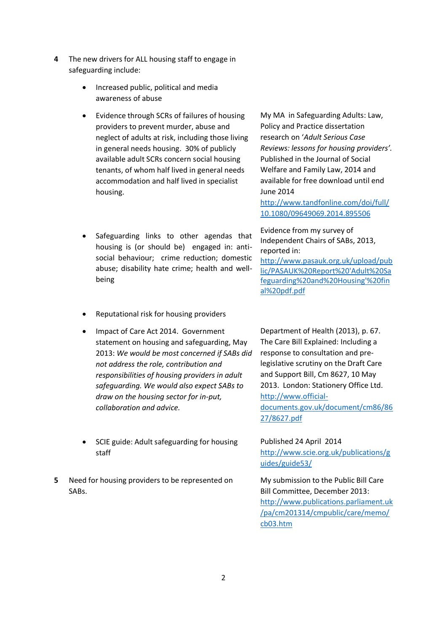- **4** The new drivers for ALL housing staff to engage in safeguarding include:
	- Increased public, political and media awareness of abuse
	- Evidence through SCRs of failures of housing providers to prevent murder, abuse and neglect of adults at risk, including those living in general needs housing. 30% of publicly available adult SCRs concern social housing tenants, of whom half lived in general needs accommodation and half lived in specialist housing.
	- Safeguarding links to other agendas that housing is (or should be) engaged in: antisocial behaviour; crime reduction; domestic abuse; disability hate crime; health and wellbeing
	- Reputational risk for housing providers
	- Impact of Care Act 2014. Government statement on housing and safeguarding, May 2013: *We would be most concerned if SABs did not address the role, contribution and responsibilities of housing providers in adult safeguarding. We would also expect SABs to draw on the housing sector for in-put, collaboration and advice.*
	- SCIE guide: Adult safeguarding for housing staff
- **5** Need for housing providers to be represented on SABs.

My MA in Safeguarding Adults: Law, Policy and Practice dissertation research on '*Adult Serious Case Reviews: lessons for housing providers'.* Published in the Journal of Social Welfare and Family Law, 2014 and available for free download until end June 2014

[http://www.tandfonline.com/doi/full/](http://www.tandfonline.com/doi/full/10.1080/09649069.2014.895506) [10.1080/09649069.2014.895506](http://www.tandfonline.com/doi/full/10.1080/09649069.2014.895506)

Evidence from my survey of Independent Chairs of SABs, 2013, reported in:

[http://www.pasauk.org.uk/upload/pub](http://www.pasauk.org.uk/upload/public/PASAUK%20Report%20) [lic/PASAUK%20Report%20'Adult%20Sa](http://www.pasauk.org.uk/upload/public/PASAUK%20Report%20) [feguarding%20and%20Housing'%20fin](http://www.pasauk.org.uk/upload/public/PASAUK%20Report%20) [al%20pdf.pdf](http://www.pasauk.org.uk/upload/public/PASAUK%20Report%20)

Department of Health (2013), p. 67. The Care Bill Explained: Including a response to consultation and prelegislative scrutiny on the Draft Care and Support Bill, Cm 8627, 10 May 2013. London: Stationery Office Ltd. [http://www.official](http://www.official-documents.gov.uk/document/cm86/8627/8627.pdf)[documents.gov.uk/document/cm86/86](http://www.official-documents.gov.uk/document/cm86/8627/8627.pdf) [27/8627.pdf](http://www.official-documents.gov.uk/document/cm86/8627/8627.pdf) 

Published 24 April 2014 [http://www.scie.org.uk/publications/g](http://www.scie.org.uk/publications/guides/guide53/) [uides/guide53/](http://www.scie.org.uk/publications/guides/guide53/)

My submission to the Public Bill Care Bill Committee, December 2013: [http://www.publications.parliament.uk](http://www.publications.parliament.uk/pa/cm201314/cmpublic/care/memo/cb03.htm) [/pa/cm201314/cmpublic/care/memo/](http://www.publications.parliament.uk/pa/cm201314/cmpublic/care/memo/cb03.htm) [cb03.htm](http://www.publications.parliament.uk/pa/cm201314/cmpublic/care/memo/cb03.htm)